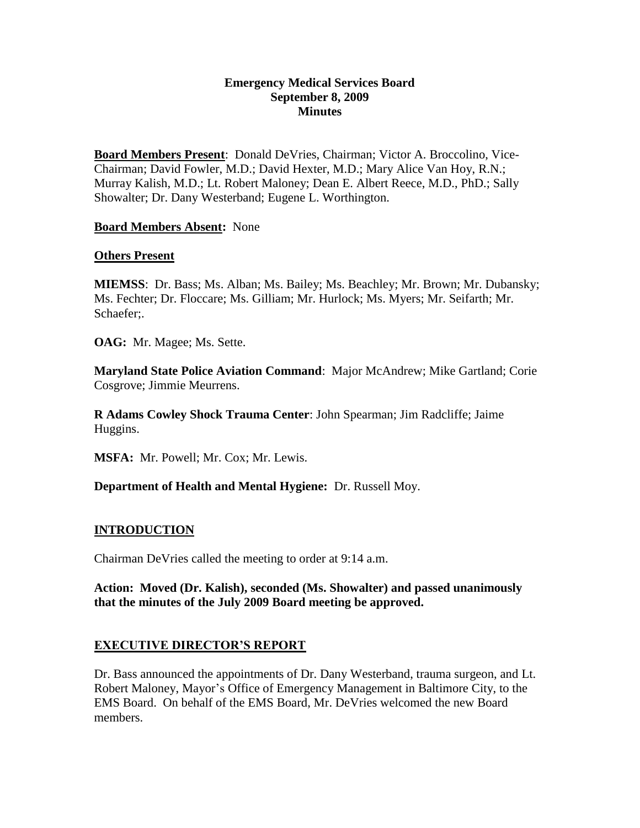### **Emergency Medical Services Board September 8, 2009 Minutes**

**Board Members Present**: Donald DeVries, Chairman; Victor A. Broccolino, Vice-Chairman; David Fowler, M.D.; David Hexter, M.D.; Mary Alice Van Hoy, R.N.; Murray Kalish, M.D.; Lt. Robert Maloney; Dean E. Albert Reece, M.D., PhD.; Sally Showalter; Dr. Dany Westerband; Eugene L. Worthington.

### **Board Members Absent:** None

#### **Others Present**

**MIEMSS**: Dr. Bass; Ms. Alban; Ms. Bailey; Ms. Beachley; Mr. Brown; Mr. Dubansky; Ms. Fechter; Dr. Floccare; Ms. Gilliam; Mr. Hurlock; Ms. Myers; Mr. Seifarth; Mr. Schaefer;.

**OAG:** Mr. Magee; Ms. Sette.

**Maryland State Police Aviation Command**: Major McAndrew; Mike Gartland; Corie Cosgrove; Jimmie Meurrens.

**R Adams Cowley Shock Trauma Center**: John Spearman; Jim Radcliffe; Jaime Huggins.

**MSFA:** Mr. Powell; Mr. Cox; Mr. Lewis.

**Department of Health and Mental Hygiene:** Dr. Russell Moy.

### **INTRODUCTION**

Chairman DeVries called the meeting to order at 9:14 a.m.

**Action: Moved (Dr. Kalish), seconded (Ms. Showalter) and passed unanimously that the minutes of the July 2009 Board meeting be approved.** 

### **EXECUTIVE DIRECTOR'S REPORT**

Dr. Bass announced the appointments of Dr. Dany Westerband, trauma surgeon, and Lt. Robert Maloney, Mayor's Office of Emergency Management in Baltimore City, to the EMS Board. On behalf of the EMS Board, Mr. DeVries welcomed the new Board members.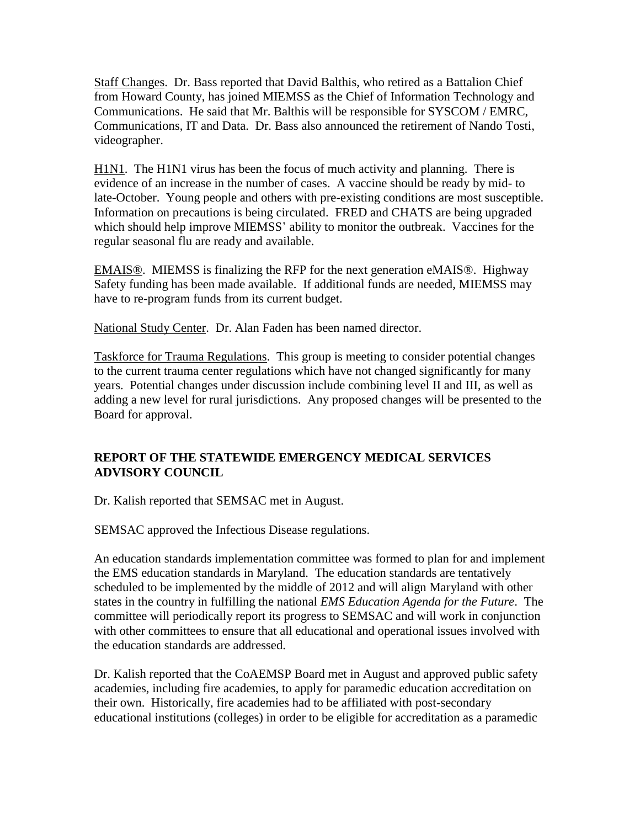Staff Changes. Dr. Bass reported that David Balthis, who retired as a Battalion Chief from Howard County, has joined MIEMSS as the Chief of Information Technology and Communications. He said that Mr. Balthis will be responsible for SYSCOM / EMRC, Communications, IT and Data. Dr. Bass also announced the retirement of Nando Tosti, videographer.

H1N1. The H1N1 virus has been the focus of much activity and planning. There is evidence of an increase in the number of cases. A vaccine should be ready by mid- to late-October. Young people and others with pre-existing conditions are most susceptible. Information on precautions is being circulated. FRED and CHATS are being upgraded which should help improve MIEMSS' ability to monitor the outbreak. Vaccines for the regular seasonal flu are ready and available.

EMAIS®. MIEMSS is finalizing the RFP for the next generation eMAIS®. Highway Safety funding has been made available. If additional funds are needed, MIEMSS may have to re-program funds from its current budget.

National Study Center. Dr. Alan Faden has been named director.

Taskforce for Trauma Regulations. This group is meeting to consider potential changes to the current trauma center regulations which have not changed significantly for many years. Potential changes under discussion include combining level II and III, as well as adding a new level for rural jurisdictions. Any proposed changes will be presented to the Board for approval.

## **REPORT OF THE STATEWIDE EMERGENCY MEDICAL SERVICES ADVISORY COUNCIL**

Dr. Kalish reported that SEMSAC met in August.

SEMSAC approved the Infectious Disease regulations.

An education standards implementation committee was formed to plan for and implement the EMS education standards in Maryland. The education standards are tentatively scheduled to be implemented by the middle of 2012 and will align Maryland with other states in the country in fulfilling the national *EMS Education Agenda for the Future*. The committee will periodically report its progress to SEMSAC and will work in conjunction with other committees to ensure that all educational and operational issues involved with the education standards are addressed.

Dr. Kalish reported that the CoAEMSP Board met in August and approved public safety academies, including fire academies, to apply for paramedic education accreditation on their own. Historically, fire academies had to be affiliated with post-secondary educational institutions (colleges) in order to be eligible for accreditation as a paramedic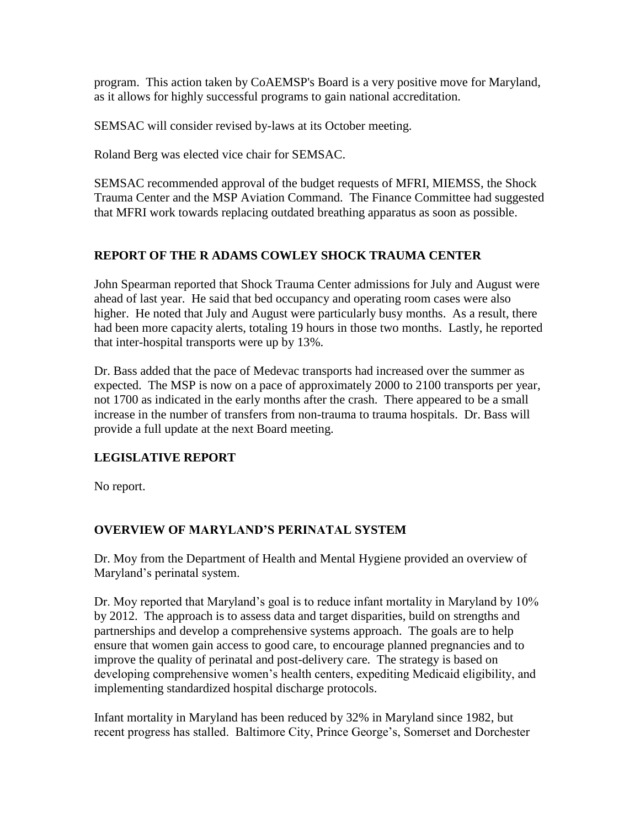program. This action taken by CoAEMSP's Board is a very positive move for Maryland, as it allows for highly successful programs to gain national accreditation.

SEMSAC will consider revised by-laws at its October meeting.

Roland Berg was elected vice chair for SEMSAC.

SEMSAC recommended approval of the budget requests of MFRI, MIEMSS, the Shock Trauma Center and the MSP Aviation Command. The Finance Committee had suggested that MFRI work towards replacing outdated breathing apparatus as soon as possible.

## **REPORT OF THE R ADAMS COWLEY SHOCK TRAUMA CENTER**

John Spearman reported that Shock Trauma Center admissions for July and August were ahead of last year. He said that bed occupancy and operating room cases were also higher. He noted that July and August were particularly busy months. As a result, there had been more capacity alerts, totaling 19 hours in those two months. Lastly, he reported that inter-hospital transports were up by 13%.

Dr. Bass added that the pace of Medevac transports had increased over the summer as expected. The MSP is now on a pace of approximately 2000 to 2100 transports per year, not 1700 as indicated in the early months after the crash. There appeared to be a small increase in the number of transfers from non-trauma to trauma hospitals. Dr. Bass will provide a full update at the next Board meeting.

### **LEGISLATIVE REPORT**

No report.

# **OVERVIEW OF MARYLAND'S PERINATAL SYSTEM**

Dr. Moy from the Department of Health and Mental Hygiene provided an overview of Maryland's perinatal system.

Dr. Moy reported that Maryland's goal is to reduce infant mortality in Maryland by 10% by 2012. The approach is to assess data and target disparities, build on strengths and partnerships and develop a comprehensive systems approach. The goals are to help ensure that women gain access to good care, to encourage planned pregnancies and to improve the quality of perinatal and post-delivery care. The strategy is based on developing comprehensive women's health centers, expediting Medicaid eligibility, and implementing standardized hospital discharge protocols.

Infant mortality in Maryland has been reduced by 32% in Maryland since 1982, but recent progress has stalled. Baltimore City, Prince George's, Somerset and Dorchester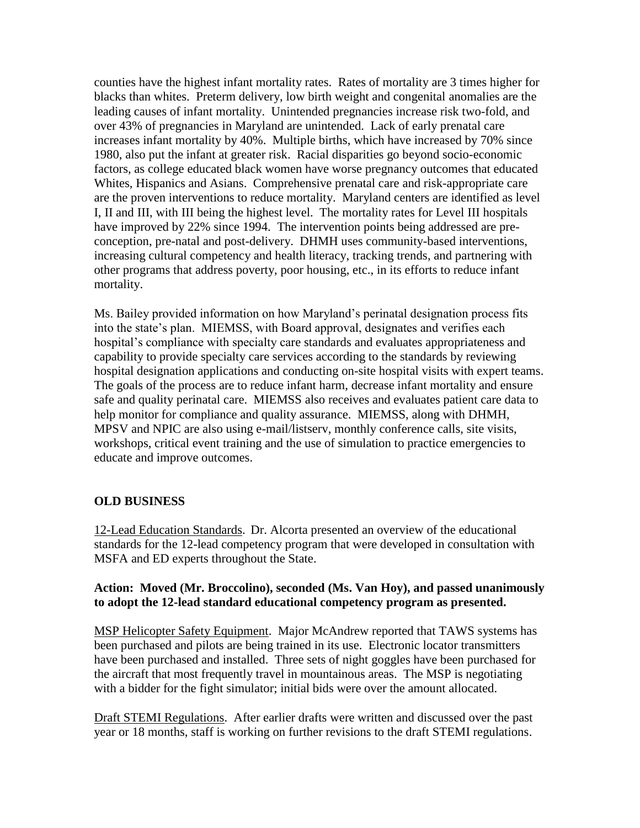counties have the highest infant mortality rates. Rates of mortality are 3 times higher for blacks than whites. Preterm delivery, low birth weight and congenital anomalies are the leading causes of infant mortality. Unintended pregnancies increase risk two-fold, and over 43% of pregnancies in Maryland are unintended. Lack of early prenatal care increases infant mortality by 40%. Multiple births, which have increased by 70% since 1980, also put the infant at greater risk. Racial disparities go beyond socio-economic factors, as college educated black women have worse pregnancy outcomes that educated Whites, Hispanics and Asians. Comprehensive prenatal care and risk-appropriate care are the proven interventions to reduce mortality. Maryland centers are identified as level I, II and III, with III being the highest level. The mortality rates for Level III hospitals have improved by 22% since 1994. The intervention points being addressed are preconception, pre-natal and post-delivery. DHMH uses community-based interventions, increasing cultural competency and health literacy, tracking trends, and partnering with other programs that address poverty, poor housing, etc., in its efforts to reduce infant mortality.

Ms. Bailey provided information on how Maryland's perinatal designation process fits into the state's plan. MIEMSS, with Board approval, designates and verifies each hospital's compliance with specialty care standards and evaluates appropriateness and capability to provide specialty care services according to the standards by reviewing hospital designation applications and conducting on-site hospital visits with expert teams. The goals of the process are to reduce infant harm, decrease infant mortality and ensure safe and quality perinatal care. MIEMSS also receives and evaluates patient care data to help monitor for compliance and quality assurance. MIEMSS, along with DHMH, MPSV and NPIC are also using e-mail/listserv, monthly conference calls, site visits, workshops, critical event training and the use of simulation to practice emergencies to educate and improve outcomes.

### **OLD BUSINESS**

12-Lead Education Standards. Dr. Alcorta presented an overview of the educational standards for the 12-lead competency program that were developed in consultation with MSFA and ED experts throughout the State.

### **Action: Moved (Mr. Broccolino), seconded (Ms. Van Hoy), and passed unanimously to adopt the 12-lead standard educational competency program as presented.**

MSP Helicopter Safety Equipment. Major McAndrew reported that TAWS systems has been purchased and pilots are being trained in its use. Electronic locator transmitters have been purchased and installed. Three sets of night goggles have been purchased for the aircraft that most frequently travel in mountainous areas. The MSP is negotiating with a bidder for the fight simulator; initial bids were over the amount allocated.

Draft STEMI Regulations. After earlier drafts were written and discussed over the past year or 18 months, staff is working on further revisions to the draft STEMI regulations.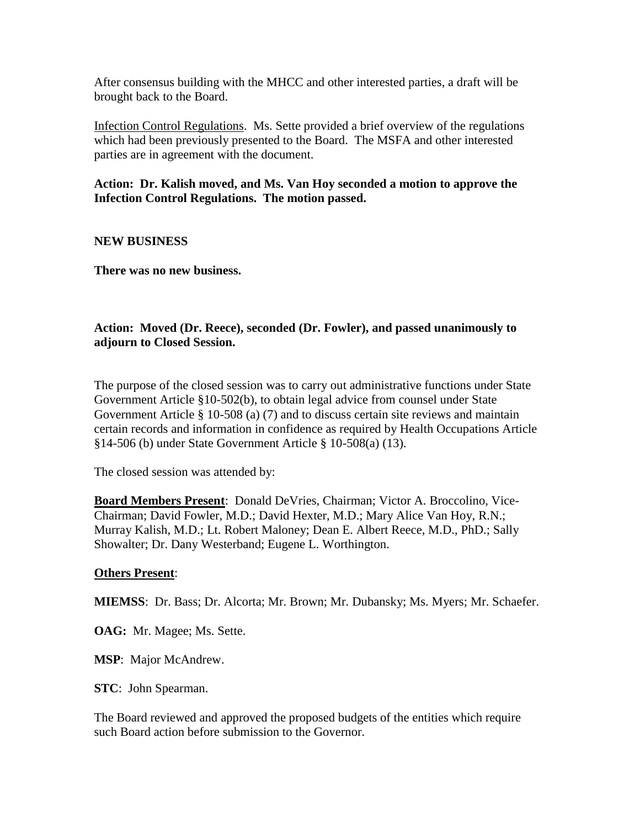After consensus building with the MHCC and other interested parties, a draft will be brought back to the Board.

Infection Control Regulations. Ms. Sette provided a brief overview of the regulations which had been previously presented to the Board. The MSFA and other interested parties are in agreement with the document.

**Action: Dr. Kalish moved, and Ms. Van Hoy seconded a motion to approve the Infection Control Regulations. The motion passed.** 

**NEW BUSINESS**

**There was no new business.**

### **Action: Moved (Dr. Reece), seconded (Dr. Fowler), and passed unanimously to adjourn to Closed Session.**

The purpose of the closed session was to carry out administrative functions under State Government Article §10-502(b), to obtain legal advice from counsel under State Government Article § 10-508 (a) (7) and to discuss certain site reviews and maintain certain records and information in confidence as required by Health Occupations Article §14-506 (b) under State Government Article § 10-508(a) (13).

The closed session was attended by:

**Board Members Present**: Donald DeVries, Chairman; Victor A. Broccolino, Vice-Chairman; David Fowler, M.D.; David Hexter, M.D.; Mary Alice Van Hoy, R.N.; Murray Kalish, M.D.; Lt. Robert Maloney; Dean E. Albert Reece, M.D., PhD.; Sally Showalter; Dr. Dany Westerband; Eugene L. Worthington.

### **Others Present**:

**MIEMSS**: Dr. Bass; Dr. Alcorta; Mr. Brown; Mr. Dubansky; Ms. Myers; Mr. Schaefer.

**OAG:** Mr. Magee; Ms. Sette.

**MSP**: Major McAndrew.

**STC**: John Spearman.

The Board reviewed and approved the proposed budgets of the entities which require such Board action before submission to the Governor.